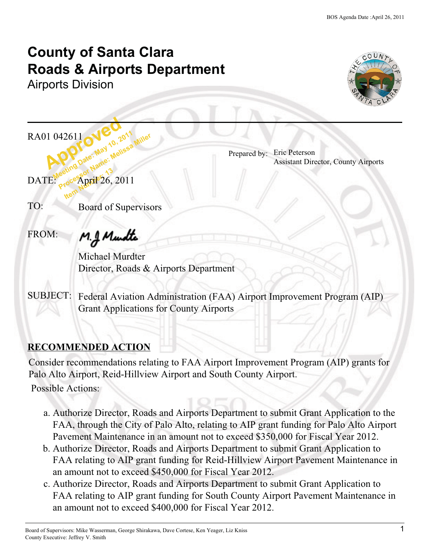# **County of Santa Clara Roads & Airports Department**

Airports Division



01 042611 New 10.2 RA01 042611

Prepared by: Eric Peterson Assistant Director, County Airports

042611 CW 10, 2011<br>**Meeting Date: May 10, 2011**<br>Meeting Date: Mame: 13 42611 C. Way 10, 2011 Miller<br>**Processor Name: Melissa Miller**<br>Processor Name: 13 **Item Number 13**<br>**Item Number**<br>**Item Number**  $\text{DATE: }$   $\text{C}^{\text{e}}$  April 26, 2011

TO: Board of Supervisors

FROM:

M.J. Mundte

Michael Murdter Director, Roads & Airports Department

SUBJECT: Federal Aviation Administration (FAA) Airport Improvement Program (AIP) Grant Applications for County Airports

# **RECOMMENDED ACTION**

Consider recommendations relating to FAA Airport Improvement Program (AIP) grants for Palo Alto Airport, Reid-Hillview Airport and South County Airport.

Possible Actions:

- a. Authorize Director, Roads and Airports Department to submit Grant Application to the FAA, through the City of Palo Alto, relating to AIP grant funding for Palo Alto Airport Pavement Maintenance in an amount not to exceed \$350,000 for Fiscal Year 2012.
- b. Authorize Director, Roads and Airports Department to submit Grant Application to FAA relating to AIP grant funding for Reid-Hillview Airport Pavement Maintenance in an amount not to exceed \$450,000 for Fiscal Year 2012.
- c. Authorize Director, Roads and Airports Department to submit Grant Application to FAA relating to AIP grant funding for South County Airport Pavement Maintenance in an amount not to exceed \$400,000 for Fiscal Year 2012.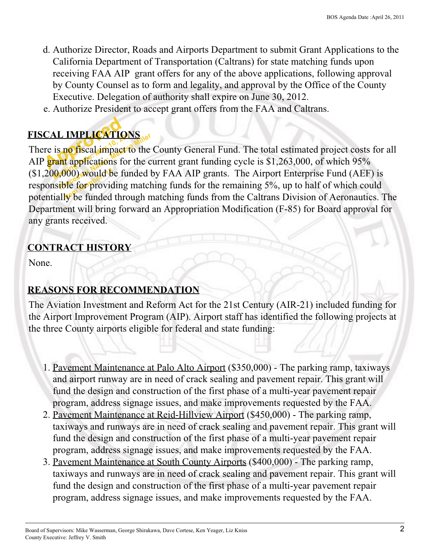- d. Authorize Director, Roads and Airports Department to submit Grant Applications to the California Department of Transportation (Caltrans) for state matching funds upon receiving FAA AIP grant offers for any of the above applications, following approval by County Counsel as to form and legality, and approval by the Office of the County Executive. Delegation of authority shall expire on June 30, 2012.
- e. Authorize President to accept grant offers from the FAA and Caltrans.

# **FISCAL IMPLICATIONS**

CAL IMPLICATIE **MELICATIONS**<br>is no fiscal impact to the<br>rant applications for the compact of the<br>0,000) would be funded list to for providing match (\$1,200,000) would be funded by FAA AIP grants. The Airport Enterprise Fund (AEF) is<br>responsible for providing matching funds for the remaining 5%, up to half of which could<br>potentially be funded through matching funds fro There is no fiscal impact to the County General Fund. The total estimated project costs for all AIP grant applications for the current grant funding cycle is \$1,263,000, of which 95% responsible for providing matching funds for the remaining 5%, up to half of which could potentially be funded through matching funds from the Caltrans Division of Aeronautics. The Department will bring forward an Appropriation Modification (F-85) for Board approval for any grants received.

#### **CONTRACT HISTORY**

None.

# **REASONS FOR RECOMMENDATION**

The Aviation Investment and Reform Act for the 21st Century (AIR-21) included funding for the Airport Improvement Program (AIP). Airport staff has identified the following projects at the three County airports eligible for federal and state funding:

- 1. Pavement Maintenance at Palo Alto Airport (\$350,000) The parking ramp, taxiways and airport runway are in need of crack sealing and pavement repair. This grant will fund the design and construction of the first phase of a multi-year pavement repair program, address signage issues, and make improvements requested by the FAA.
- 2. Pavement Maintenance at Reid-Hillview Airport (\$450,000) The parking ramp, taxiways and runways are in need of crack sealing and pavement repair. This grant will fund the design and construction of the first phase of a multi-year pavement repair program, address signage issues, and make improvements requested by the FAA.
- 3. Pavement Maintenance at South County Airports (\$400,000) The parking ramp, taxiways and runways are in need of crack sealing and pavement repair. This grant will fund the design and construction of the first phase of a multi-year pavement repair program, address signage issues, and make improvements requested by the FAA.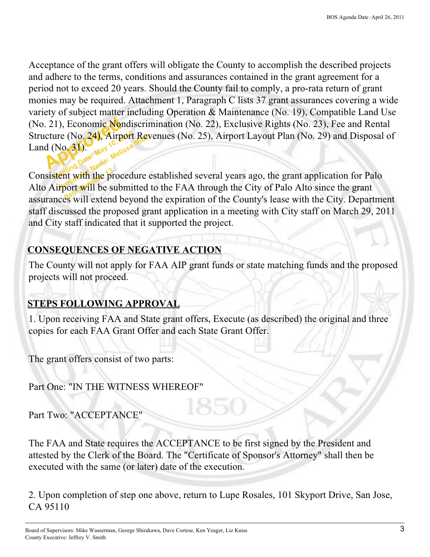(No. 21), Economic Nondiscrimination (No. 22), Exclusive Rights (No. 23), Fee and Rental<br>Structure (No. 24), Airport Revenues (No. 25), Airport Layout Plan (No. 29) and Disposal c<br>Land (No. 31).<br>Name: Wells 52 ure (No. 24), Airport Rev<br>(No. 31)<br>stent with the procedure extent with the procedure extend Acceptance of the grant offers will obligate the County to accomplish the described projects and adhere to the terms, conditions and assurances contained in the grant agreement for a period not to exceed 20 years. Should the County fail to comply, a pro-rata return of grant monies may be required. Attachment 1, Paragraph C lists 37 grant assurances covering a wide variety of subject matter including Operation & Maintenance (No. 19), Compatible Land Use Structure (No. 24), Airport Revenues (No. 25), Airport Layout Plan (No. 29) and Disposal of Land  $(No.31)$ .

Consistent with the procedure established several years ago, the grant application for Palo<br>Alto Airport will be submitted to the FAA through the City of Palo Alto since the grant Alto Airport will be submitted to the FAA through the City of Palo Alto since the grant assurances will extend beyond the expiration of the County's lease with the City. Department staff discussed the proposed grant application in a meeting with City staff on March 29, 2011 and City staff indicated that it supported the project.

# **CONSEQUENCES OF NEGATIVE ACTION**

The County will not apply for FAA AIP grant funds or state matching funds and the proposed projects will not proceed.

# **STEPS FOLLOWING APPROVAL**

1. Upon receiving FAA and State grant offers, Execute (as described) the original and three copies for each FAA Grant Offer and each State Grant Offer.

The grant offers consist of two parts:

Part One: "IN THE WITNESS WHEREOF"

Part Two: "ACCEPTANCE"

The FAA and State requires the ACCEPTANCE to be first signed by the President and attested by the Clerk of the Board. The "Certificate of Sponsor's Attorney" shall then be executed with the same (or later) date of the execution.

2. Upon completion of step one above, return to Lupe Rosales, 101 Skyport Drive, San Jose, CA 95110